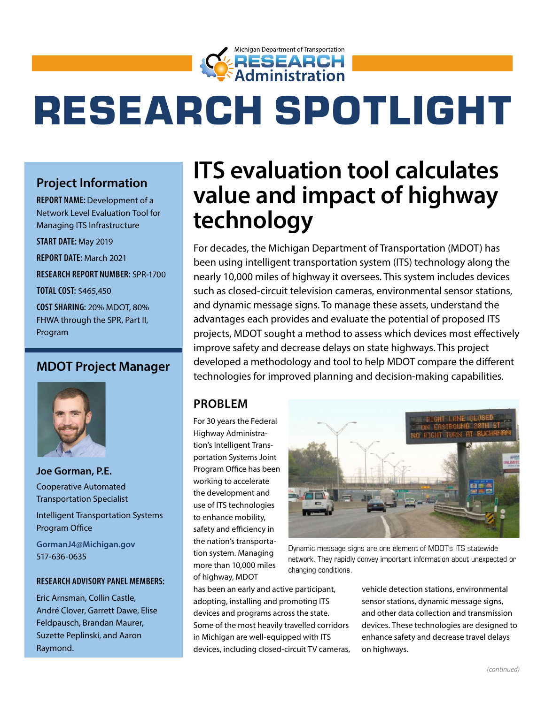

# RESEARCH SPOTLIGHT

# **Project Information**

**REPORT NAME:** Development of a Network Level Evaluation Tool for Managing ITS Infrastructure

**START DATE:** May 2019

**REPORT DATE:** March 2021

**RESEARCH REPORT NUMBER:** SPR-1700

**TOTAL COST:** \$465,450

**COST SHARING:** 20% MDOT, 80% FHWA through the SPR, Part II, Program

#### **MDOT Project Manager**



**Joe Gorman, P.E.** Cooperative Automated Transportation Specialist

Intelligent Transportation Systems Program Office

**[GormanJ4@Michigan.gov](mailto:GormanJ4@Michigan.gov)** 517-636-0635

#### **RESEARCH ADVISORY PANEL MEMBERS:**

Eric Arnsman, Collin Castle, André Clover, Garrett Dawe, Elise Feldpausch, Brandan Maurer, Suzette Peplinski, and Aaron Raymond.

# **ITS evaluation tool calculates value and impact of highway technology**

For decades, the Michigan Department of Transportation (MDOT) has been using intelligent transportation system (ITS) technology along the nearly 10,000 miles of highway it oversees. This system includes devices such as closed-circuit television cameras, environmental sensor stations, and dynamic message signs. To manage these assets, understand the advantages each provides and evaluate the potential of proposed ITS projects, MDOT sought a method to assess which devices most effectively improve safety and decrease delays on state highways. This project developed a methodology and tool to help MDOT compare the different technologies for improved planning and decision-making capabilities.

#### **PROBLEM**

For 30 years the Federal Highway Administration's Intelligent Transportation Systems Joint Program Office has been working to accelerate the development and use of ITS technologies to enhance mobility, safety and efficiency in the nation's transportation system. Managing more than 10,000 miles of highway, MDOT

has been an early and active participant, adopting, installing and promoting ITS devices and programs across the state. Some of the most heavily travelled corridors in Michigan are well-equipped with ITS devices, including closed-circuit TV cameras,



Dynamic message signs are one element of MDOT's ITS statewide network. They rapidly convey important information about unexpected or changing conditions.

vehicle detection stations, environmental sensor stations, dynamic message signs, and other data collection and transmission devices. These technologies are designed to enhance safety and decrease travel delays on highways.